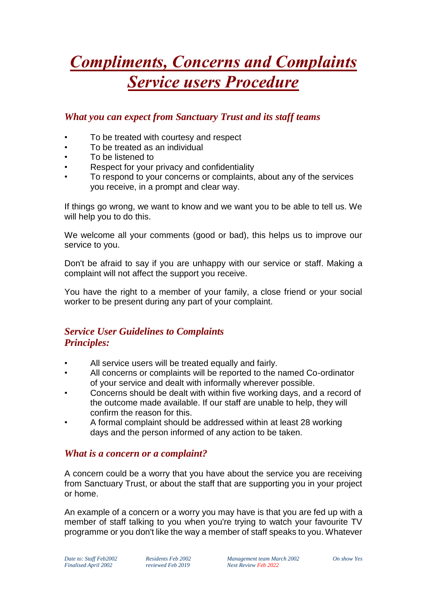# *Compliments, Concerns and Complaints Service users Procedure*

## *What you can expect from Sanctuary Trust and its staff teams*

- To be treated with courtesy and respect
- To be treated as an individual
- To be listened to
- Respect for your privacy and confidentiality
- To respond to your concerns or complaints, about any of the services you receive, in a prompt and clear way.

If things go wrong, we want to know and we want you to be able to tell us. We will help you to do this.

We welcome all your comments (good or bad), this helps us to improve our service to you.

Don't be afraid to say if you are unhappy with our service or staff. Making a complaint will not affect the support you receive.

You have the right to a member of your family, a close friend or your social worker to be present during any part of your complaint.

## *Service User Guidelines to Complaints Principles:*

- All service users will be treated equally and fairly.
- All concerns or complaints will be reported to the named Co-ordinator of your service and dealt with informally wherever possible.
- Concerns should be dealt with within five working days, and a record of the outcome made available. If our staff are unable to help, they will confirm the reason for this.
- A formal complaint should be addressed within at least 28 working days and the person informed of any action to be taken.

### *What is a concern or a complaint?*

A concern could be a worry that you have about the service you are receiving from Sanctuary Trust, or about the staff that are supporting you in your project or home.

An example of a concern or a worry you may have is that you are fed up with a member of staff talking to you when you're trying to watch your favourite TV programme or you don't like the way a member of staff speaks to you. Whatever

*Date to: Staff Feb2002 Residents Feb 2002 Management team March 2002 On show Yes Finalised April 2002 reviewed Feb 2019 Next Review Feb 2022*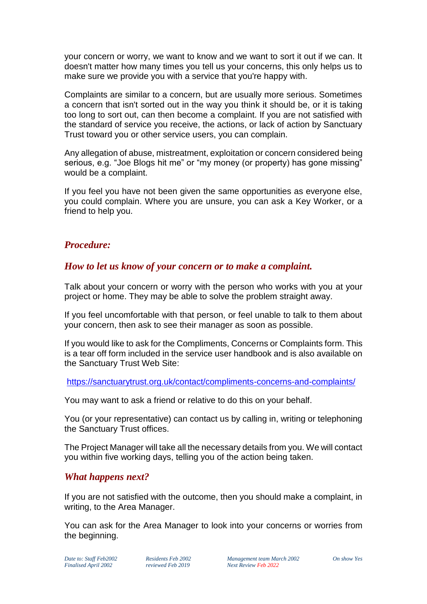your concern or worry, we want to know and we want to sort it out if we can. It doesn't matter how many times you tell us your concerns, this only helps us to make sure we provide you with a service that you're happy with.

Complaints are similar to a concern, but are usually more serious. Sometimes a concern that isn't sorted out in the way you think it should be, or it is taking too long to sort out, can then become a complaint. If you are not satisfied with the standard of service you receive, the actions, or lack of action by Sanctuary Trust toward you or other service users, you can complain.

Any allegation of abuse, mistreatment, exploitation or concern considered being serious, e.g. "Joe Blogs hit me" or "my money (or property) has gone missing" would be a complaint.

If you feel you have not been given the same opportunities as everyone else, you could complain. Where you are unsure, you can ask a Key Worker, or a friend to help you.

#### *Procedure:*

#### *How to let us know of your concern or to make a complaint.*

Talk about your concern or worry with the person who works with you at your project or home. They may be able to solve the problem straight away.

If you feel uncomfortable with that person, or feel unable to talk to them about your concern, then ask to see their manager as soon as possible.

If you would like to ask for the Compliments, Concerns or Complaints form. This is a tear off form included in the service user handbook and is also available on the Sanctuary Trust Web Site:

<https://sanctuarytrust.org.uk/contact/compliments-concerns-and-complaints/>

You may want to ask a friend or relative to do this on your behalf.

You (or your representative) can contact us by calling in, writing or telephoning the Sanctuary Trust offices.

The Project Manager will take all the necessary details from you. We will contact you within five working days, telling you of the action being taken.

#### *What happens next?*

If you are not satisfied with the outcome, then you should make a complaint, in writing, to the Area Manager.

You can ask for the Area Manager to look into your concerns or worries from the beginning.

*Date to: Staff Feb2002 Residents Feb 2002 Management team March 2002 On show Yes Finalised April 2002 reviewed Feb 2019 Next Review Feb 2022*